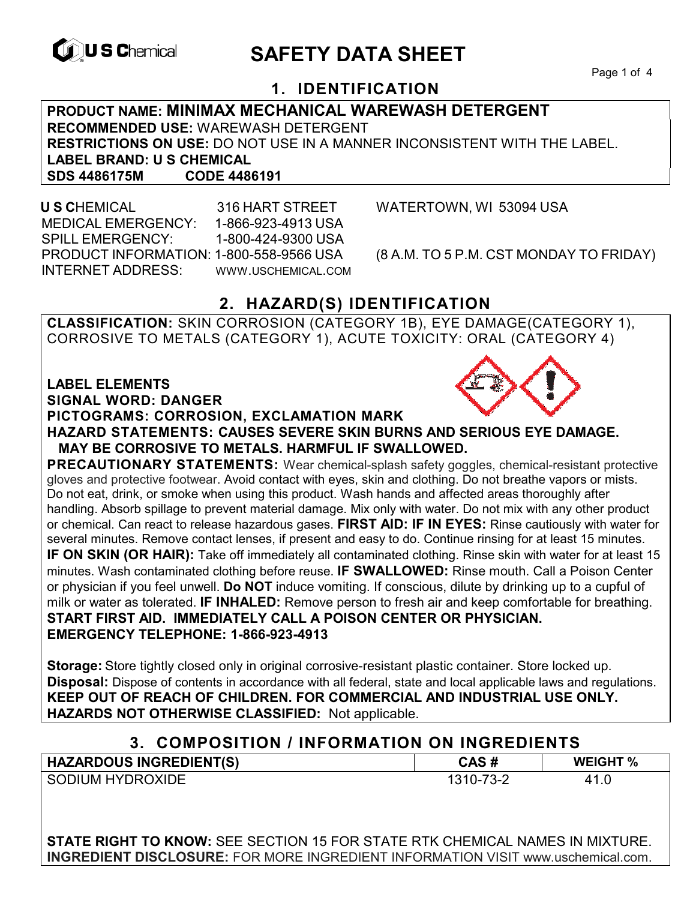

# **EXAGREM** SAFETY DATA SHEET

Page 1 of 4

### **1. IDENTIFICATION**

#### **PRODUCT NAME: MINIMAX MECHANICAL WAREWASH DETERGENT RECOMMENDED USE:** WAREWASH DETERGENT **RESTRICTIONS ON USE:** DO NOT USE IN A MANNER INCONSISTENT WITH THE LABEL. **LABEL BRAND: U S CHEMICAL SDS 4486175M**

 **U S C**HEMICAL 316 HART STREET WATERTOWN, WI 53094 USA MEDICAL EMERGENCY: 1-866-923-4913 USA SPILL EMERGENCY: 1-800-424-9300 USA PRODUCT INFORMATION: 1-800-558-9566 USA (8 A.M. TO 5 P.M. CST MONDAY TO FRIDAY) INTERNET ADDRESS: WWW.USCHEMICAL.COM

### **2. HAZARD(S) IDENTIFICATION**

**CLASSIFICATION:** SKIN CORROSION (CATEGORY 1B), EYE DAMAGE(CATEGORY 1), CORROSIVE TO METALS (CATEGORY 1), ACUTE TOXICITY: ORAL (CATEGORY 4)

#### **LABEL ELEMENTS**

**SIGNAL WORD: DANGER**

#### **PICTOGRAMS: CORROSION, EXCLAMATION MARK**



**PRECAUTIONARY STATEMENTS:** Wear chemical-splash safety goggles, chemical-resistant protective gloves and protective footwear. Avoid contact with eyes, skin and clothing. Do not breathe vapors or mists. Do not eat, drink, or smoke when using this product. Wash hands and affected areas thoroughly after handling. Absorb spillage to prevent material damage. Mix only with water. Do not mix with any other product or chemical. Can react to release hazardous gases. **FIRST AID: IF IN EYES:** Rinse cautiously with water for several minutes. Remove contact lenses, if present and easy to do. Continue rinsing for at least 15 minutes. **IF ON SKIN (OR HAIR):** Take off immediately all contaminated clothing. Rinse skin with water for at least 15 minutes. Wash contaminated clothing before reuse. **IF SWALLOWED:** Rinse mouth. Call a Poison Center or physician if you feel unwell. **Do NOT** induce vomiting. If conscious, dilute by drinking up to a cupful of milk or water as tolerated. **IF INHALED:** Remove person to fresh air and keep comfortable for breathing. **START FIRST AID. IMMEDIATELY CALL A POISON CENTER OR PHYSICIAN. EMERGENCY TELEPHONE: 1-866-923-4913**

**Storage:** Store tightly closed only in original corrosive-resistant plastic container. Store locked up. **Disposal:** Dispose of contents in accordance with all federal, state and local applicable laws and regulations. **KEEP OUT OF REACH OF CHILDREN. FOR COMMERCIAL AND INDUSTRIAL USE ONLY. HAZARDS NOT OTHERWISE CLASSIFIED:** Not applicable.

### **3. COMPOSITION / INFORMATION ON INGREDIENTS**

| <b>HAZARDOUS INGREDIENT(S)</b> | CAS#      | <b>WEIGHT %</b> |
|--------------------------------|-----------|-----------------|
| SODIUM HYDROXIDE               | 1310-73-2 | 41              |

**STATE RIGHT TO KNOW:** SEE SECTION 15 FOR STATE RTK CHEMICAL NAMES IN MIXTURE. **INGREDIENT DISCLOSURE:** FOR MORE INGREDIENT INFORMATION VISIT www.uschemical.com.

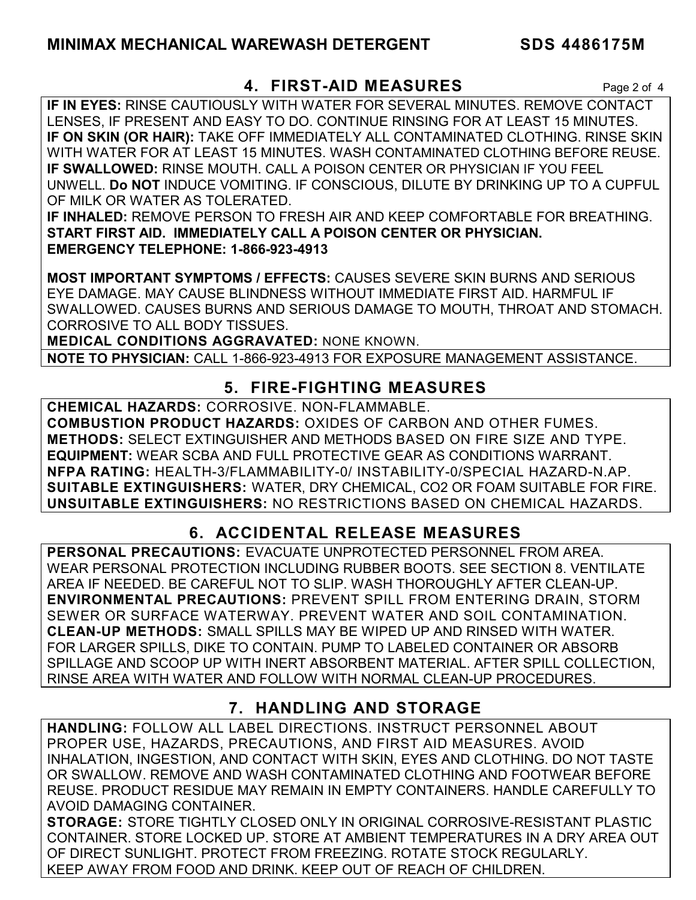### **4. FIRST-AID MEASURES** Page 2 of 4

**IF IN EYES:** RINSE CAUTIOUSLY WITH WATER FOR SEVERAL MINUTES. REMOVE CONTACT LENSES, IF PRESENT AND EASY TO DO. CONTINUE RINSING FOR AT LEAST 15 MINUTES. **IF ON SKIN (OR HAIR):** TAKE OFF IMMEDIATELY ALL CONTAMINATED CLOTHING. RINSE SKIN WITH WATER FOR AT LEAST 15 MINUTES. WASH CONTAMINATED CLOTHING BEFORE REUSE. **IF SWALLOWED:** RINSE MOUTH. CALL A POISON CENTER OR PHYSICIAN IF YOU FEEL UNWELL. **Do NOT** INDUCE VOMITING. IF CONSCIOUS, DILUTE BY DRINKING UP TO A CUPFUL OF MILK OR WATER AS TOLERATED.

**IF INHALED:** REMOVE PERSON TO FRESH AIR AND KEEP COMFORTABLE FOR BREATHING. **START FIRST AID. IMMEDIATELY CALL A POISON CENTER OR PHYSICIAN. EMERGENCY TELEPHONE: 1-866-923-4913**

**MOST IMPORTANT SYMPTOMS / EFFECTS:** CAUSES SEVERE SKIN BURNS AND SERIOUS EYE DAMAGE. MAY CAUSE BLINDNESS WITHOUT IMMEDIATE FIRST AID. HARMFUL IF SWALLOWED. CAUSES BURNS AND SERIOUS DAMAGE TO MOUTH, THROAT AND STOMACH. CORROSIVE TO ALL BODY TISSUES.

**MEDICAL CONDITIONS AGGRAVATED:** NONE KNOWN.

**NOTE TO PHYSICIAN:** CALL 1-866-923-4913 FOR EXPOSURE MANAGEMENT ASSISTANCE.

## **5. FIRE-FIGHTING MEASURES**

**CHEMICAL HAZARDS:** CORROSIVE. NON-FLAMMABLE. **COMBUSTION PRODUCT HAZARDS:** OXIDES OF CARBON AND OTHER FUMES. **METHODS:** SELECT EXTINGUISHER AND METHODS BASED ON FIRE SIZE AND TYPE. **EQUIPMENT:** WEAR SCBA AND FULL PROTECTIVE GEAR AS CONDITIONS WARRANT. **NFPA RATING:** HEALTH-3/FLAMMABILITY-0/ INSTABILITY-0/SPECIAL HAZARD-N.AP. **SUITABLE EXTINGUISHERS:** WATER, DRY CHEMICAL, CO2 OR FOAM SUITABLE FOR FIRE. **UNSUITABLE EXTINGUISHERS:** NO RESTRICTIONS BASED ON CHEMICAL HAZARDS.

# **6. ACCIDENTAL RELEASE MEASURES**

**PERSONAL PRECAUTIONS:** EVACUATE UNPROTECTED PERSONNEL FROM AREA. WEAR PERSONAL PROTECTION INCLUDING RUBBER BOOTS. SEE SECTION 8. VENTILATE AREA IF NEEDED. BE CAREFUL NOT TO SLIP. WASH THOROUGHLY AFTER CLEAN-UP. **ENVIRONMENTAL PRECAUTIONS:** PREVENT SPILL FROM ENTERING DRAIN, STORM SEWER OR SURFACE WATERWAY. PREVENT WATER AND SOIL CONTAMINATION. **CLEAN-UP METHODS:** SMALL SPILLS MAY BE WIPED UP AND RINSED WITH WATER. FOR LARGER SPILLS, DIKE TO CONTAIN. PUMP TO LABELED CONTAINER OR ABSORB SPILLAGE AND SCOOP UP WITH INERT ABSORBENT MATERIAL. AFTER SPILL COLLECTION, RINSE AREA WITH WATER AND FOLLOW WITH NORMAL CLEAN-UP PROCEDURES.

# **7. HANDLING AND STORAGE**

**HANDLING:** FOLLOW ALL LABEL DIRECTIONS. INSTRUCT PERSONNEL ABOUT PROPER USE, HAZARDS, PRECAUTIONS, AND FIRST AID MEASURES. AVOID INHALATION, INGESTION, AND CONTACT WITH SKIN, EYES AND CLOTHING. DO NOT TASTE OR SWALLOW. REMOVE AND WASH CONTAMINATED CLOTHING AND FOOTWEAR BEFORE REUSE. PRODUCT RESIDUE MAY REMAIN IN EMPTY CONTAINERS. HANDLE CAREFULLY TO AVOID DAMAGING CONTAINER.

**STORAGE:** STORE TIGHTLY CLOSED ONLY IN ORIGINAL CORROSIVE-RESISTANT PLASTIC CONTAINER. STORE LOCKED UP. STORE AT AMBIENT TEMPERATURES IN A DRY AREA OUT OF DIRECT SUNLIGHT. PROTECT FROM FREEZING. ROTATE STOCK REGULARLY. KEEP AWAY FROM FOOD AND DRINK. KEEP OUT OF REACH OF CHILDREN.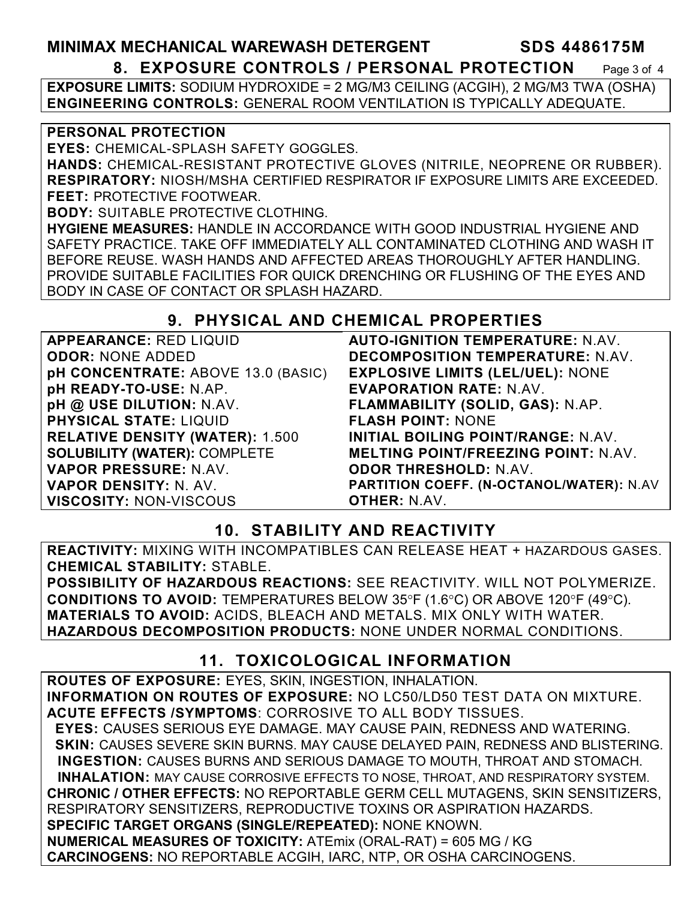### **MINIMAX MECHANICAL WAREWASH DETERGENT SDS 4486175M 8. EXPOSURE CONTROLS / PERSONAL PROTECTION** Page 3 of 4

**EXPOSURE LIMITS:** SODIUM HYDROXIDE = 2 MG/M3 CEILING (ACGIH), 2 MG/M3 TWA (OSHA) **ENGINEERING CONTROLS:** GENERAL ROOM VENTILATION IS TYPICALLY ADEQUATE.

#### **PERSONAL PROTECTION**

**EYES:** CHEMICAL-SPLASH SAFETY GOGGLES.

**HANDS:** CHEMICAL-RESISTANT PROTECTIVE GLOVES (NITRILE, NEOPRENE OR RUBBER). **RESPIRATORY:** NIOSH/MSHA CERTIFIED RESPIRATOR IF EXPOSURE LIMITS ARE EXCEEDED. **FEET:** PROTECTIVE FOOTWEAR.

**BODY:** SUITABLE PROTECTIVE CLOTHING.

**HYGIENE MEASURES:** HANDLE IN ACCORDANCE WITH GOOD INDUSTRIAL HYGIENE AND SAFETY PRACTICE. TAKE OFF IMMEDIATELY ALL CONTAMINATED CLOTHING AND WASH IT BEFORE REUSE. WASH HANDS AND AFFECTED AREAS THOROUGHLY AFTER HANDLING. PROVIDE SUITABLE FACILITIES FOR QUICK DRENCHING OR FLUSHING OF THE EYES AND BODY IN CASE OF CONTACT OR SPLASH HAZARD.

### **9. PHYSICAL AND CHEMICAL PROPERTIES**

| <b>APPEARANCE: RED LIQUID</b>          | <b>AUTO-IGNITION</b>   |
|----------------------------------------|------------------------|
| <b>ODOR: NONE ADDED</b>                | <b>DECOMPOSITIC</b>    |
| pH CONCENTRATE: ABOVE 13.0 (BASIC)     | <b>EXPLOSIVE LIN</b>   |
| pH READY-TO-USE: N.AP.                 | <b>EVAPORATION</b>     |
| pH @ USE DILUTION: N.AV.               | <b>FLAMMABILITY</b>    |
| <b>PHYSICAL STATE: LIQUID</b>          | <b>FLASH POINT:</b>    |
| <b>RELATIVE DENSITY (WATER): 1.500</b> | <b>INITIAL BOILING</b> |
| <b>SOLUBILITY (WATER): COMPLETE</b>    | <b>MELTING POIN'</b>   |
| VAPOR PRESSURE: N.AV.                  | <b>ODOR THRESH</b>     |
| VAPOR DENSITY: N. AV.                  | <b>PARTITION COEI</b>  |
| <b>VISCOSITY: NON-VISCOUS</b>          | <b>OTHER: N.AV.</b>    |
|                                        |                        |

**AUTO-IGNITY TEMPERATURE:** N.AV. **DN TEMPERATURE: N.AV. EXPLOSIVE LIMITS (LEL/UEL):** NONE **RATE: N.AV. (SOLID, GAS): N.AP. FLASH POINT:** NONE **G POINT/RANGE:** N.AV. **MELTING POINT/FREEZING POINT:** N.AV. **OLD:** N.AV. **FF. (N-OCTANOL/WATER): N.AV** 

# **10. STABILITY AND REACTIVITY**

**REACTIVITY:** MIXING WITH INCOMPATIBLES CAN RELEASE HEAT + HAZARDOUS GASES. **CHEMICAL STABILITY:** STABLE.

**POSSIBILITY OF HAZARDOUS REACTIONS:** SEE REACTIVITY. WILL NOT POLYMERIZE. **CONDITIONS TO AVOID:** TEMPERATURES BELOW 35°F (1.6°C) OR ABOVE 120°F (49°C). **MATERIALS TO AVOID:** ACIDS, BLEACH AND METALS. MIX ONLY WITH WATER. **HAZARDOUS DECOMPOSITION PRODUCTS:** NONE UNDER NORMAL CONDITIONS.

### **11. TOXICOLOGICAL INFORMATION**

**ROUTES OF EXPOSURE:** EYES, SKIN, INGESTION, INHALATION. **INFORMATION ON ROUTES OF EXPOSURE:** NO LC50/LD50 TEST DATA ON MIXTURE. **ACUTE EFFECTS /SYMPTOMS**: CORROSIVE TO ALL BODY TISSUES.  **EYES:** CAUSES SERIOUS EYE DAMAGE. MAY CAUSE PAIN, REDNESS AND WATERING.  **SKIN:** CAUSES SEVERE SKIN BURNS. MAY CAUSE DELAYED PAIN, REDNESS AND BLISTERING. **INGESTION:** CAUSES BURNS AND SERIOUS DAMAGE TO MOUTH, THROAT AND STOMACH. **INHALATION:** MAY CAUSE CORROSIVE EFFECTS TO NOSE, THROAT, AND RESPIRATORY SYSTEM. **CHRONIC / OTHER EFFECTS:** NO REPORTABLE GERM CELL MUTAGENS, SKIN SENSITIZERS, RESPIRATORY SENSITIZERS, REPRODUCTIVE TOXINS OR ASPIRATION HAZARDS. **SPECIFIC TARGET ORGANS (SINGLE/REPEATED):** NONE KNOWN. **NUMERICAL MEASURES OF TOXICITY:** ATEmix (ORAL-RAT) = 605 MG / KG **CARCINOGENS:** NO REPORTABLE ACGIH, IARC, NTP, OR OSHA CARCINOGENS.